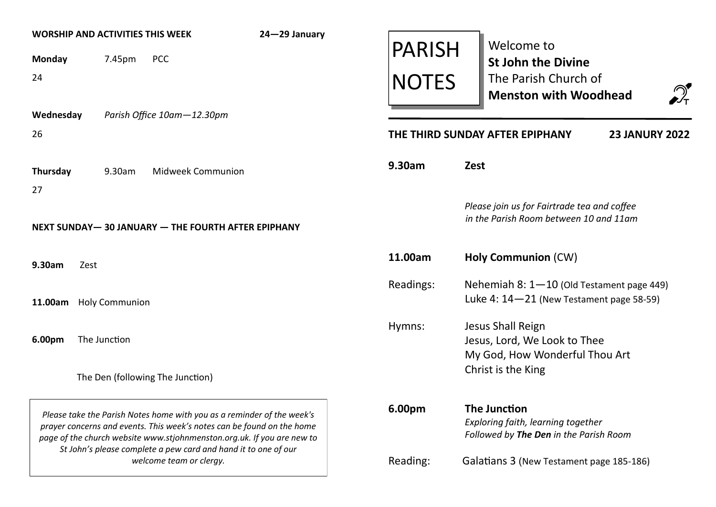| <b>WORSHIP AND ACTIVITIES THIS WEEK</b>                                                                                                                                                                                    |        |                                  | 24-29 January |                                                                                                     |                                                                                       | Welcome to                                                                      |  |
|----------------------------------------------------------------------------------------------------------------------------------------------------------------------------------------------------------------------------|--------|----------------------------------|---------------|-----------------------------------------------------------------------------------------------------|---------------------------------------------------------------------------------------|---------------------------------------------------------------------------------|--|
| <b>Monday</b>                                                                                                                                                                                                              | 7.45pm | <b>PCC</b>                       |               | <b>PARISH</b>                                                                                       |                                                                                       | <b>St John the Divine</b>                                                       |  |
| 24                                                                                                                                                                                                                         |        |                                  |               | <b>NOTES</b>                                                                                        |                                                                                       | The Parish Church of<br>$\bigcirc_{\mathsf{r}}$<br><b>Menston with Woodhead</b> |  |
| Wednesday                                                                                                                                                                                                                  |        | Parish Office 10am-12.30pm       |               |                                                                                                     |                                                                                       |                                                                                 |  |
| 26                                                                                                                                                                                                                         |        |                                  |               | THE THIRD SUNDAY AFTER EPIPHANY<br><b>23 JANURY 2022</b>                                            |                                                                                       |                                                                                 |  |
| Thursday                                                                                                                                                                                                                   | 9.30am | <b>Midweek Communion</b>         |               | 9.30am                                                                                              | Zest                                                                                  |                                                                                 |  |
| 27                                                                                                                                                                                                                         |        |                                  |               |                                                                                                     |                                                                                       |                                                                                 |  |
| NEXT SUNDAY-30 JANUARY - THE FOURTH AFTER EPIPHANY                                                                                                                                                                         |        |                                  |               |                                                                                                     | Please join us for Fairtrade tea and coffee<br>in the Parish Room between 10 and 11am |                                                                                 |  |
| 9.30am<br>Zest                                                                                                                                                                                                             |        |                                  |               | 11.00am                                                                                             |                                                                                       | <b>Holy Communion (CW)</b>                                                      |  |
|                                                                                                                                                                                                                            |        |                                  |               | Readings:                                                                                           |                                                                                       | Nehemiah $8:1-10$ (Old Testament page 449)                                      |  |
| <b>Holy Communion</b><br>11.00am                                                                                                                                                                                           |        |                                  |               | Luke 4: $14-21$ (New Testament page 58-59)                                                          |                                                                                       |                                                                                 |  |
|                                                                                                                                                                                                                            |        |                                  |               | Hymns:                                                                                              |                                                                                       | Jesus Shall Reign                                                               |  |
| 6.00pm<br>The Junction                                                                                                                                                                                                     |        |                                  |               | Jesus, Lord, We Look to Thee                                                                        |                                                                                       |                                                                                 |  |
|                                                                                                                                                                                                                            |        | The Den (following The Junction) |               |                                                                                                     |                                                                                       | My God, How Wonderful Thou Art<br>Christ is the King                            |  |
|                                                                                                                                                                                                                            |        |                                  |               | 6.00pm                                                                                              |                                                                                       |                                                                                 |  |
| Please take the Parish Notes home with you as a reminder of the week's<br>prayer concerns and events. This week's notes can be found on the home<br>page of the church website www.stjohnmenston.org.uk. If you are new to |        |                                  |               | <b>The Junction</b><br>Exploring faith, learning together<br>Followed by The Den in the Parish Room |                                                                                       |                                                                                 |  |
| St John's please complete a pew card and hand it to one of our<br>welcome team or clergy.                                                                                                                                  |        |                                  |               | Reading:                                                                                            | Galatians 3 (New Testament page 185-186)                                              |                                                                                 |  |